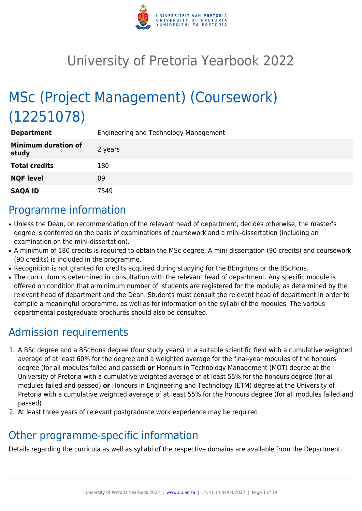

# University of Pretoria Yearbook 2022

# MSc (Project Management) (Coursework) (12251078)

| <b>Department</b>                   | Engineering and Technology Management |
|-------------------------------------|---------------------------------------|
| <b>Minimum duration of</b><br>study | 2 years                               |
| <b>Total credits</b>                | 180                                   |
| <b>NQF level</b>                    | 09                                    |
| <b>SAQA ID</b>                      | 7549                                  |

## Programme information

- Unless the Dean, on recommendation of the relevant head of department, decides otherwise, the master's degree is conferred on the basis of examinations of coursework and a mini-dissertation (including an examination on the mini-dissertation).
- A minimum of 180 credits is required to obtain the MSc degree. A mini-dissertation (90 credits) and coursework (90 credits) is included in the programme.
- Recognition is not granted for credits acquired during studying for the BEngHons or the BScHons.
- The curriculum is determined in consultation with the relevant head of department. Any specific module is offered on condition that a minimum number of students are registered for the module, as determined by the relevant head of department and the Dean. Students must consult the relevant head of department in order to compile a meaningful programme, as well as for information on the syllabi of the modules. The various departmental postgraduate brochures should also be consulted.

# Admission requirements

- 1. A BSc degree and a BScHons degree (four study years) in a suitable scientific field with a cumulative weighted average of at least 60% for the degree and a weighted average for the final-year modules of the honours degree (for all modules failed and passed) **or** Honours in Technology Management (MOT) degree at the University of Pretoria with a cumulative weighted average of at least 55% for the honours degree (for all modules failed and passed) **or** Honours in Engineering and Technology (ETM) degree at the University of Pretoria with a cumulative weighted average of at least 55% for the honours degree (for all modules failed and passed)
- 2. At least three years of relevant postgraduate work experience may be required

# Other programme-specific information

Details regarding the curricula as well as syllabi of the respective domains are available from the Department.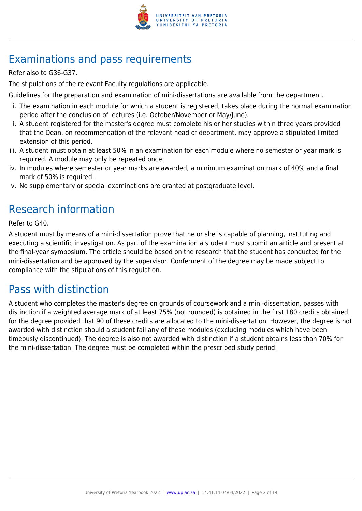

# Examinations and pass requirements

Refer also to G36-G37.

The stipulations of the relevant Faculty regulations are applicable.

Guidelines for the preparation and examination of mini-dissertations are available from the department.

- i. The examination in each module for which a student is registered, takes place during the normal examination period after the conclusion of lectures (i.e. October/November or May/June).
- ii. A student registered for the master's degree must complete his or her studies within three years provided that the Dean, on recommendation of the relevant head of department, may approve a stipulated limited extension of this period.
- iii. A student must obtain at least 50% in an examination for each module where no semester or year mark is required. A module may only be repeated once.
- iv. In modules where semester or year marks are awarded, a minimum examination mark of 40% and a final mark of 50% is required.
- v. No supplementary or special examinations are granted at postgraduate level.

## Research information

Refer to G40.

A student must by means of a mini-dissertation prove that he or she is capable of planning, instituting and executing a scientific investigation. As part of the examination a student must submit an article and present at the final-year symposium. The article should be based on the research that the student has conducted for the mini-dissertation and be approved by the supervisor. Conferment of the degree may be made subject to compliance with the stipulations of this regulation.

### Pass with distinction

A student who completes the master's degree on grounds of coursework and a mini-dissertation, passes with distinction if a weighted average mark of at least 75% (not rounded) is obtained in the first 180 credits obtained for the degree provided that 90 of these credits are allocated to the mini-dissertation. However, the degree is not awarded with distinction should a student fail any of these modules (excluding modules which have been timeously discontinued). The degree is also not awarded with distinction if a student obtains less than 70% for the mini-dissertation. The degree must be completed within the prescribed study period.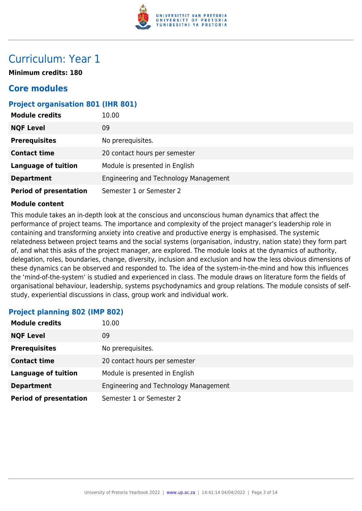

## Curriculum: Year 1

**Minimum credits: 180**

### **Core modules**

#### **Project organisation 801 (IHR 801)**

| <b>Module credits</b>         | 10.00                                 |
|-------------------------------|---------------------------------------|
| <b>NQF Level</b>              | 09                                    |
| <b>Prerequisites</b>          | No prerequisites.                     |
| <b>Contact time</b>           | 20 contact hours per semester         |
| <b>Language of tuition</b>    | Module is presented in English        |
| <b>Department</b>             | Engineering and Technology Management |
| <b>Period of presentation</b> | Semester 1 or Semester 2              |

#### **Module content**

This module takes an in-depth look at the conscious and unconscious human dynamics that affect the performance of project teams. The importance and complexity of the project manager's leadership role in containing and transforming anxiety into creative and productive energy is emphasised. The systemic relatedness between project teams and the social systems (organisation, industry, nation state) they form part of, and what this asks of the project manager, are explored. The module looks at the dynamics of authority, delegation, roles, boundaries, change, diversity, inclusion and exclusion and how the less obvious dimensions of these dynamics can be observed and responded to. The idea of the system-in-the-mind and how this influences the 'mind-of-the-system' is studied and experienced in class. The module draws on literature form the fields of organisational behaviour, leadership, systems psychodynamics and group relations. The module consists of selfstudy, experiential discussions in class, group work and individual work.

#### **Project planning 802 (IMP 802)**

| <b>Module credits</b>         | 10.00                                 |
|-------------------------------|---------------------------------------|
| <b>NQF Level</b>              | 09                                    |
| <b>Prerequisites</b>          | No prerequisites.                     |
| <b>Contact time</b>           | 20 contact hours per semester         |
| <b>Language of tuition</b>    | Module is presented in English        |
| <b>Department</b>             | Engineering and Technology Management |
| <b>Period of presentation</b> | Semester 1 or Semester 2              |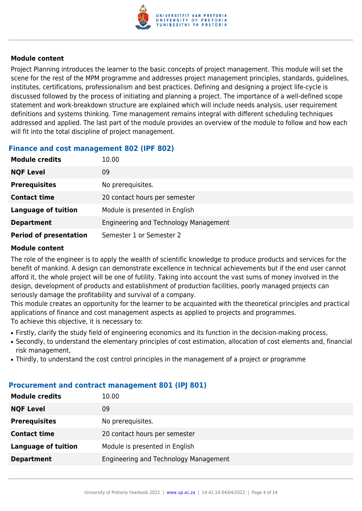

Project Planning introduces the learner to the basic concepts of project management. This module will set the scene for the rest of the MPM programme and addresses project management principles, standards, guidelines, institutes, certifications, professionalism and best practices. Defining and designing a project life-cycle is discussed followed by the process of initiating and planning a project. The importance of a well-defined scope statement and work-breakdown structure are explained which will include needs analysis, user requirement definitions and systems thinking. Time management remains integral with different scheduling techniques addressed and applied. The last part of the module provides an overview of the module to follow and how each will fit into the total discipline of project management.

#### **Finance and cost management 802 (IPF 802)**

| <b>Module credits</b>         | 10.00                                 |
|-------------------------------|---------------------------------------|
| <b>NQF Level</b>              | 09                                    |
| <b>Prerequisites</b>          | No prerequisites.                     |
| <b>Contact time</b>           | 20 contact hours per semester         |
| <b>Language of tuition</b>    | Module is presented in English        |
| <b>Department</b>             | Engineering and Technology Management |
| <b>Period of presentation</b> | Semester 1 or Semester 2              |

#### **Module content**

The role of the engineer is to apply the wealth of scientific knowledge to produce products and services for the benefit of mankind. A design can demonstrate excellence in technical achievements but if the end user cannot afford it, the whole project will be one of futility. Taking into account the vast sums of money involved in the design, development of products and establishment of production facilities, poorly managed projects can seriously damage the profitability and survival of a company.

This module creates an opportunity for the learner to be acquainted with the theoretical principles and practical applications of finance and cost management aspects as applied to projects and programmes. To achieve this objective, it is necessary to:

- Firstly, clarify the study field of engineering economics and its function in the decision-making process,
- Secondly, to understand the elementary principles of cost estimation, allocation of cost elements and, financial risk management,
- Thirdly, to understand the cost control principles in the management of a project or programme

| <b>Module credits</b>      | 10.00                                 |
|----------------------------|---------------------------------------|
| <b>NQF Level</b>           | 09                                    |
| <b>Prerequisites</b>       | No prerequisites.                     |
| <b>Contact time</b>        | 20 contact hours per semester         |
| <b>Language of tuition</b> | Module is presented in English        |
| <b>Department</b>          | Engineering and Technology Management |

#### **Procurement and contract management 801 (IPJ 801)**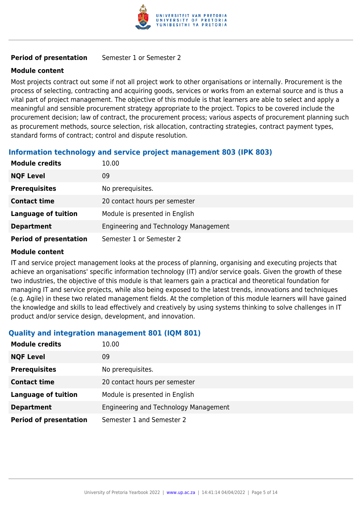

#### **Period of presentation** Semester 1 or Semester 2

#### **Module content**

Most projects contract out some if not all project work to other organisations or internally. Procurement is the process of selecting, contracting and acquiring goods, services or works from an external source and is thus a vital part of project management. The objective of this module is that learners are able to select and apply a meaningful and sensible procurement strategy appropriate to the project. Topics to be covered include the procurement decision; law of contract, the procurement process; various aspects of procurement planning such as procurement methods, source selection, risk allocation, contracting strategies, contract payment types, standard forms of contract; control and dispute resolution.

#### **Information technology and service project management 803 (IPK 803)**

| <b>Module credits</b>         | 10.00                                 |
|-------------------------------|---------------------------------------|
| <b>NQF Level</b>              | 09                                    |
| <b>Prerequisites</b>          | No prerequisites.                     |
| <b>Contact time</b>           | 20 contact hours per semester         |
| <b>Language of tuition</b>    | Module is presented in English        |
| <b>Department</b>             | Engineering and Technology Management |
| <b>Period of presentation</b> | Semester 1 or Semester 2              |

#### **Module content**

IT and service project management looks at the process of planning, organising and executing projects that achieve an organisations' specific information technology (IT) and/or service goals. Given the growth of these two industries, the objective of this module is that learners gain a practical and theoretical foundation for managing IT and service projects, while also being exposed to the latest trends, innovations and techniques (e.g. Agile) in these two related management fields. At the completion of this module learners will have gained the knowledge and skills to lead effectively and creatively by using systems thinking to solve challenges in IT product and/or service design, development, and innovation.

#### **Quality and integration management 801 (IQM 801)**

| <b>Module credits</b>         | 10.00                                 |
|-------------------------------|---------------------------------------|
| <b>NQF Level</b>              | 09                                    |
| <b>Prerequisites</b>          | No prerequisites.                     |
| <b>Contact time</b>           | 20 contact hours per semester         |
| <b>Language of tuition</b>    | Module is presented in English        |
| <b>Department</b>             | Engineering and Technology Management |
| <b>Period of presentation</b> | Semester 1 and Semester 2             |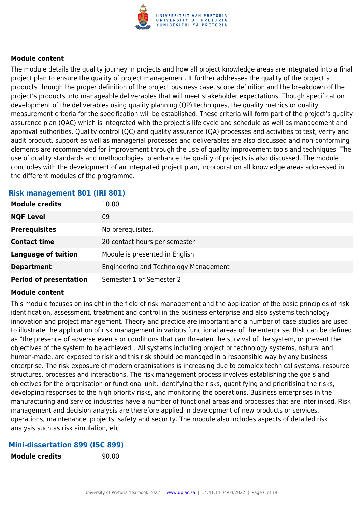

The module details the quality journey in projects and how all project knowledge areas are integrated into a final project plan to ensure the quality of project management. It further addresses the quality of the project's products through the proper definition of the project business case, scope definition and the breakdown of the project's products into manageable deliverables that will meet stakeholder expectations. Though specification development of the deliverables using quality planning (QP) techniques, the quality metrics or quality measurement criteria for the specification will be established. These criteria will form part of the project's quality assurance plan (QAC) which is integrated with the project's life cycle and schedule as well as management and approval authorities. Quality control (QC) and quality assurance (QA) processes and activities to test, verify and audit product, support as well as managerial processes and deliverables are also discussed and non-conforming elements are recommended for improvement through the use of quality improvement tools and techniques. The use of quality standards and methodologies to enhance the quality of projects is also discussed. The module concludes with the development of an integrated project plan, incorporation all knowledge areas addressed in the different modules of the programme.

#### **Risk management 801 (IRI 801)**

| <b>Module credits</b>         | 10.00                                 |
|-------------------------------|---------------------------------------|
| <b>NQF Level</b>              | 09                                    |
| <b>Prerequisites</b>          | No prerequisites.                     |
| <b>Contact time</b>           | 20 contact hours per semester         |
| <b>Language of tuition</b>    | Module is presented in English        |
| <b>Department</b>             | Engineering and Technology Management |
| <b>Period of presentation</b> | Semester 1 or Semester 2              |

#### **Module content**

This module focuses on insight in the field of risk management and the application of the basic principles of risk identification, assessment, treatment and control in the business enterprise and also systems technology innovation and project management. Theory and practice are important and a number of case studies are used to illustrate the application of risk management in various functional areas of the enterprise. Risk can be defined as "the presence of adverse events or conditions that can threaten the survival of the system, or prevent the objectives of the system to be achieved". All systems including project or technology systems, natural and human-made, are exposed to risk and this risk should be managed in a responsible way by any business enterprise. The risk exposure of modern organisations is increasing due to complex technical systems, resource structures, processes and interactions. The risk management process involves establishing the goals and objectives for the organisation or functional unit, identifying the risks, quantifying and prioritising the risks, developing responses to the high priority risks, and monitoring the operations. Business enterprises in the manufacturing and service industries have a number of functional areas and processes that are interlinked. Risk management and decision analysis are therefore applied in development of new products or services, operations, maintenance, projects, safety and security. The module also includes aspects of detailed risk analysis such as risk simulation, etc.

#### **Mini-dissertation 899 (ISC 899)**

**Module credits** 90.00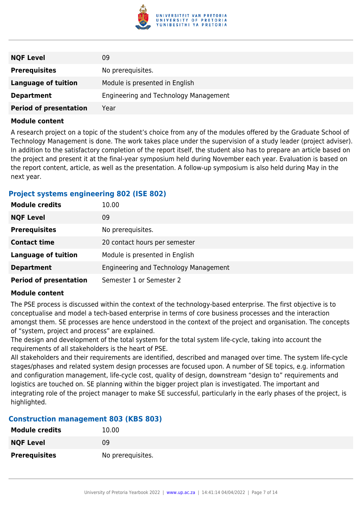

| <b>NQF Level</b>              | 09                                    |
|-------------------------------|---------------------------------------|
| <b>Prerequisites</b>          | No prerequisites.                     |
| Language of tuition           | Module is presented in English        |
| <b>Department</b>             | Engineering and Technology Management |
| <b>Period of presentation</b> | Year                                  |

A research project on a topic of the student's choice from any of the modules offered by the Graduate School of Technology Management is done. The work takes place under the supervision of a study leader (project adviser). In addition to the satisfactory completion of the report itself, the student also has to prepare an article based on the project and present it at the final-year symposium held during November each year. Evaluation is based on the report content, article, as well as the presentation. A follow-up symposium is also held during May in the next year.

#### **Project systems engineering 802 (ISE 802)**

| <b>Module credits</b>         | 10.00                                 |
|-------------------------------|---------------------------------------|
| <b>NQF Level</b>              | 09                                    |
| <b>Prerequisites</b>          | No prerequisites.                     |
| <b>Contact time</b>           | 20 contact hours per semester         |
| <b>Language of tuition</b>    | Module is presented in English        |
| <b>Department</b>             | Engineering and Technology Management |
| <b>Period of presentation</b> | Semester 1 or Semester 2              |

#### **Module content**

The PSE process is discussed within the context of the technology-based enterprise. The first objective is to conceptualise and model a tech-based enterprise in terms of core business processes and the interaction amongst them. SE processes are hence understood in the context of the project and organisation. The concepts of "system, project and process" are explained.

The design and development of the total system for the total system life-cycle, taking into account the requirements of all stakeholders is the heart of PSE.

All stakeholders and their requirements are identified, described and managed over time. The system life-cycle stages/phases and related system design processes are focused upon. A number of SE topics, e.g. information and configuration management, life-cycle cost, quality of design, downstream "design to" requirements and logistics are touched on. SE planning within the bigger project plan is investigated. The important and integrating role of the project manager to make SE successful, particularly in the early phases of the project, is highlighted.

#### **Construction management 803 (KBS 803)**

| <b>Module credits</b> | 10.00             |
|-----------------------|-------------------|
| <b>NQF Level</b>      | 09                |
| <b>Prerequisites</b>  | No prerequisites. |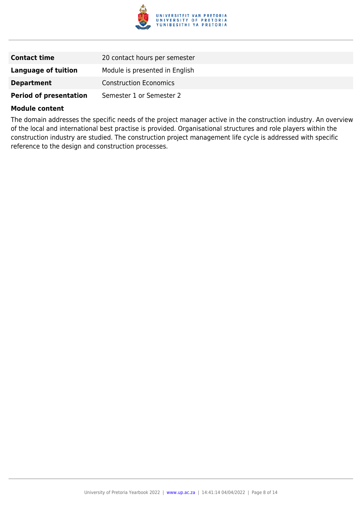

| <b>Contact time</b>           | 20 contact hours per semester  |
|-------------------------------|--------------------------------|
| <b>Language of tuition</b>    | Module is presented in English |
| <b>Department</b>             | <b>Construction Economics</b>  |
| <b>Period of presentation</b> | Semester 1 or Semester 2       |

The domain addresses the specific needs of the project manager active in the construction industry. An overview of the local and international best practise is provided. Organisational structures and role players within the construction industry are studied. The construction project management life cycle is addressed with specific reference to the design and construction processes.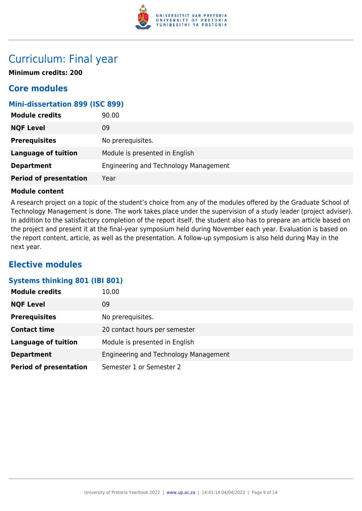

## Curriculum: Final year

**Minimum credits: 200**

### **Core modules**

#### **Mini-dissertation 899 (ISC 899)**

| <b>Module credits</b>         | 90.00                                 |
|-------------------------------|---------------------------------------|
| <b>NQF Level</b>              | 09                                    |
| <b>Prerequisites</b>          | No prerequisites.                     |
| <b>Language of tuition</b>    | Module is presented in English        |
| <b>Department</b>             | Engineering and Technology Management |
| <b>Period of presentation</b> | Year                                  |

#### **Module content**

A research project on a topic of the student's choice from any of the modules offered by the Graduate School of Technology Management is done. The work takes place under the supervision of a study leader (project adviser). In addition to the satisfactory completion of the report itself, the student also has to prepare an article based on the project and present it at the final-year symposium held during November each year. Evaluation is based on the report content, article, as well as the presentation. A follow-up symposium is also held during May in the next year.

### **Elective modules**

#### **Systems thinking 801 (IBI 801)**

| <b>Module credits</b>         | 10.00                                 |
|-------------------------------|---------------------------------------|
| <b>NQF Level</b>              | 09                                    |
| <b>Prerequisites</b>          | No prerequisites.                     |
| <b>Contact time</b>           | 20 contact hours per semester         |
| <b>Language of tuition</b>    | Module is presented in English        |
| <b>Department</b>             | Engineering and Technology Management |
| <b>Period of presentation</b> | Semester 1 or Semester 2              |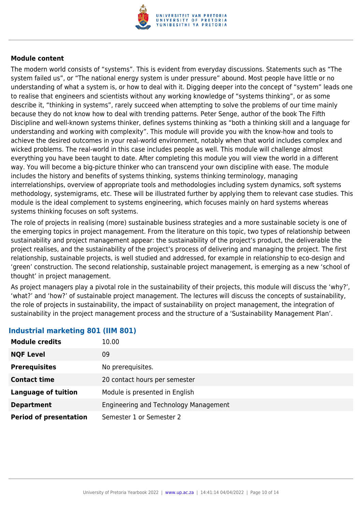

The modern world consists of "systems". This is evident from everyday discussions. Statements such as "The system failed us", or "The national energy system is under pressure" abound. Most people have little or no understanding of what a system is, or how to deal with it. Digging deeper into the concept of "system" leads one to realise that engineers and scientists without any working knowledge of "systems thinking", or as some describe it, "thinking in systems", rarely succeed when attempting to solve the problems of our time mainly because they do not know how to deal with trending patterns. Peter Senge, author of the book The Fifth Discipline and well-known systems thinker, defines systems thinking as "both a thinking skill and a language for understanding and working with complexity". This module will provide you with the know-how and tools to achieve the desired outcomes in your real-world environment, notably when that world includes complex and wicked problems. The real-world in this case includes people as well. This module will challenge almost everything you have been taught to date. After completing this module you will view the world in a different way. You will become a big-picture thinker who can transcend your own discipline with ease. The module includes the history and benefits of systems thinking, systems thinking terminology, managing interrelationships, overview of appropriate tools and methodologies including system dynamics, soft systems methodology, systemigrams, etc. These will be illustrated further by applying them to relevant case studies. This module is the ideal complement to systems engineering, which focuses mainly on hard systems whereas systems thinking focuses on soft systems.

The role of projects in realising (more) sustainable business strategies and a more sustainable society is one of the emerging topics in project management. From the literature on this topic, two types of relationship between sustainability and project management appear: the sustainability of the project's product, the deliverable the project realises, and the sustainability of the project's process of delivering and managing the project. The first relationship, sustainable projects, is well studied and addressed, for example in relationship to eco-design and 'green' construction. The second relationship, sustainable project management, is emerging as a new 'school of thought' in project management.

As project managers play a pivotal role in the sustainability of their projects, this module will discuss the 'why?', 'what?' and 'how?' of sustainable project management. The lectures will discuss the concepts of sustainability, the role of projects in sustainability, the impact of sustainability on project management, the integration of sustainability in the project management process and the structure of a 'Sustainability Management Plan'.

| <b>Module credits</b>         | 10.00                                 |
|-------------------------------|---------------------------------------|
| <b>NQF Level</b>              | 09                                    |
| <b>Prerequisites</b>          | No prerequisites.                     |
| <b>Contact time</b>           | 20 contact hours per semester         |
| <b>Language of tuition</b>    | Module is presented in English        |
| <b>Department</b>             | Engineering and Technology Management |
| <b>Period of presentation</b> | Semester 1 or Semester 2              |

#### **Industrial marketing 801 (IIM 801)**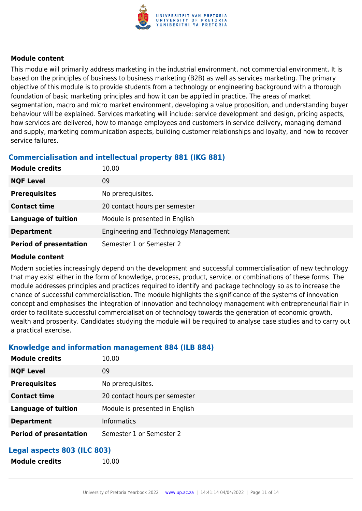

This module will primarily address marketing in the industrial environment, not commercial environment. It is based on the principles of business to business marketing (B2B) as well as services marketing. The primary objective of this module is to provide students from a technology or engineering background with a thorough foundation of basic marketing principles and how it can be applied in practice. The areas of market segmentation, macro and micro market environment, developing a value proposition, and understanding buyer behaviour will be explained. Services marketing will include: service development and design, pricing aspects, how services are delivered, how to manage employees and customers in service delivery, managing demand and supply, marketing communication aspects, building customer relationships and loyalty, and how to recover service failures.

### **Commercialisation and intellectual property 881 (IKG 881)**

| <b>Module credits</b>         | 10.00                                 |
|-------------------------------|---------------------------------------|
| <b>NQF Level</b>              | 09                                    |
| <b>Prerequisites</b>          | No prerequisites.                     |
| <b>Contact time</b>           | 20 contact hours per semester         |
| <b>Language of tuition</b>    | Module is presented in English        |
| <b>Department</b>             | Engineering and Technology Management |
| <b>Period of presentation</b> | Semester 1 or Semester 2              |

#### **Module content**

Modern societies increasingly depend on the development and successful commercialisation of new technology that may exist either in the form of knowledge, process, product, service, or combinations of these forms. The module addresses principles and practices required to identify and package technology so as to increase the chance of successful commercialisation. The module highlights the significance of the systems of innovation concept and emphasises the integration of innovation and technology management with entrepreneurial flair in order to facilitate successful commercialisation of technology towards the generation of economic growth, wealth and prosperity. Candidates studying the module will be required to analyse case studies and to carry out a practical exercise.

#### **Knowledge and information management 884 (ILB 884)**

**Module credits** 10.00

| <b>Module credits</b>         | 10.00                          |
|-------------------------------|--------------------------------|
| <b>NQF Level</b>              | 09                             |
| <b>Prerequisites</b>          | No prerequisites.              |
| <b>Contact time</b>           | 20 contact hours per semester  |
| <b>Language of tuition</b>    | Module is presented in English |
| <b>Department</b>             | <b>Informatics</b>             |
| <b>Period of presentation</b> | Semester 1 or Semester 2       |
|                               |                                |

### **Legal aspects 803 (ILC 803)**

| <b>Module credits</b> |
|-----------------------|
|-----------------------|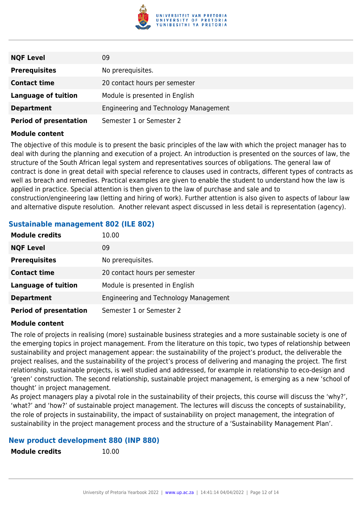

| <b>NQF Level</b>              | 09                                    |
|-------------------------------|---------------------------------------|
| <b>Prerequisites</b>          | No prerequisites.                     |
| <b>Contact time</b>           | 20 contact hours per semester         |
| <b>Language of tuition</b>    | Module is presented in English        |
| <b>Department</b>             | Engineering and Technology Management |
| <b>Period of presentation</b> | Semester 1 or Semester 2              |

The objective of this module is to present the basic principles of the law with which the project manager has to deal with during the planning and execution of a project. An introduction is presented on the sources of law, the structure of the South African legal system and representatives sources of obligations. The general law of contract is done in great detail with special reference to clauses used in contracts, different types of contracts as well as breach and remedies. Practical examples are given to enable the student to understand how the law is applied in practice. Special attention is then given to the law of purchase and sale and to construction/engineering law (letting and hiring of work). Further attention is also given to aspects of labour law and alternative dispute resolution. Another relevant aspect discussed in less detail is representation (agency).

#### **Sustainable management 802 (ILE 802)**

| <b>Module credits</b>         | 10.00                                 |
|-------------------------------|---------------------------------------|
| <b>NQF Level</b>              | 09                                    |
| <b>Prerequisites</b>          | No prerequisites.                     |
| <b>Contact time</b>           | 20 contact hours per semester         |
| <b>Language of tuition</b>    | Module is presented in English        |
| <b>Department</b>             | Engineering and Technology Management |
| <b>Period of presentation</b> | Semester 1 or Semester 2              |

#### **Module content**

The role of projects in realising (more) sustainable business strategies and a more sustainable society is one of the emerging topics in project management. From the literature on this topic, two types of relationship between sustainability and project management appear: the sustainability of the project's product, the deliverable the project realises, and the sustainability of the project's process of delivering and managing the project. The first relationship, sustainable projects, is well studied and addressed, for example in relationship to eco-design and 'green' construction. The second relationship, sustainable project management, is emerging as a new 'school of thought' in project management.

As project managers play a pivotal role in the sustainability of their projects, this course will discuss the 'why?', 'what?' and 'how?' of sustainable project management. The lectures will discuss the concepts of sustainability, the role of projects in sustainability, the impact of sustainability on project management, the integration of sustainability in the project management process and the structure of a 'Sustainability Management Plan'.

#### **New product development 880 (INP 880)**

**Module credits** 10.00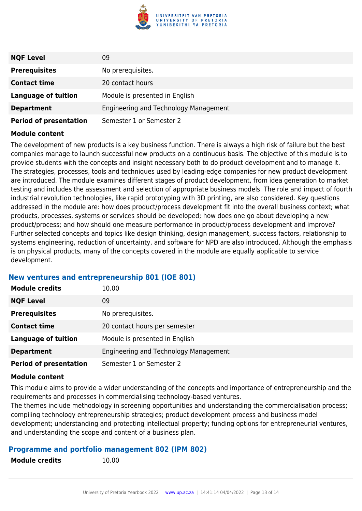

| <b>NQF Level</b>              | 09                                    |
|-------------------------------|---------------------------------------|
| <b>Prerequisites</b>          | No prerequisites.                     |
| <b>Contact time</b>           | 20 contact hours                      |
| <b>Language of tuition</b>    | Module is presented in English        |
| <b>Department</b>             | Engineering and Technology Management |
| <b>Period of presentation</b> | Semester 1 or Semester 2              |

The development of new products is a key business function. There is always a high risk of failure but the best companies manage to launch successful new products on a continuous basis. The objective of this module is to provide students with the concepts and insight necessary both to do product development and to manage it. The strategies, processes, tools and techniques used by leading-edge companies for new product development are introduced. The module examines different stages of product development, from idea generation to market testing and includes the assessment and selection of appropriate business models. The role and impact of fourth industrial revolution technologies, like rapid prototyping with 3D printing, are also considered. Key questions addressed in the module are: how does product/process development fit into the overall business context; what products, processes, systems or services should be developed; how does one go about developing a new product/process; and how should one measure performance in product/process development and improve? Further selected concepts and topics like design thinking, design management, success factors, relationship to systems engineering, reduction of uncertainty, and software for NPD are also introduced. Although the emphasis is on physical products, many of the concepts covered in the module are equally applicable to service development.

#### **New ventures and entrepreneurship 801 (IOE 801)**

| <b>Module credits</b>         | 10.00                                 |
|-------------------------------|---------------------------------------|
| <b>NQF Level</b>              | 09                                    |
| <b>Prerequisites</b>          | No prerequisites.                     |
| <b>Contact time</b>           | 20 contact hours per semester         |
| <b>Language of tuition</b>    | Module is presented in English        |
| <b>Department</b>             | Engineering and Technology Management |
| <b>Period of presentation</b> | Semester 1 or Semester 2              |

#### **Module content**

This module aims to provide a wider understanding of the concepts and importance of entrepreneurship and the requirements and processes in commercialising technology-based ventures.

The themes include methodology in screening opportunities and understanding the commercialisation process; compiling technology entrepreneurship strategies; product development process and business model development; understanding and protecting intellectual property; funding options for entrepreneurial ventures, and understanding the scope and content of a business plan.

#### **Programme and portfolio management 802 (IPM 802)**

| <b>Module credits</b> | 10.00 |
|-----------------------|-------|
|                       |       |